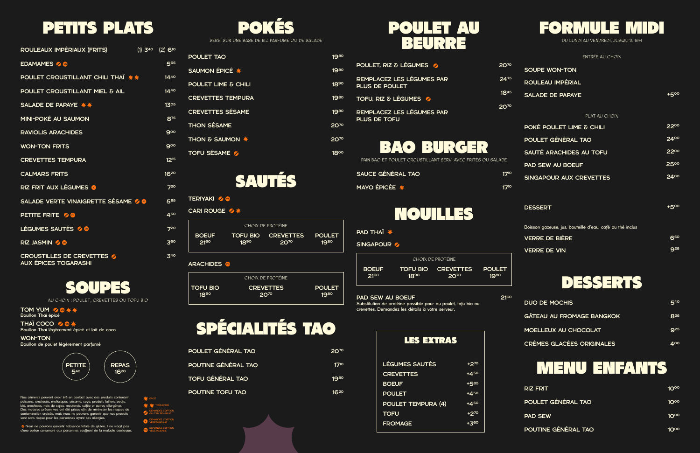# PETITS PLATS POKÉS POULET AU

# BEURRE



## NOUILLES





## MENU ENFANTS



```
TERIYAKI Z
```
CARI ROUGE **⁄\*** 

# SPÉCIALITÉS TAO

SOUPES

Nos aliments peuvent avoir été en contact avec des produits contenant poissons, crustacés, mollusques, sésame, soya, produits laitiers, oeufs, blé, arachides, noix de cajou, moutarde, sulfite et autres allergènes. Des mesures préventives ont été prises afin de minimiser les risques de contamination croisée, mais nous ne pouvons garantir que nos produits sont sans risque pour les personnes ayant ces allergies.

TOM YUM Z & \* \* Bouillon Thaï épicé

CROUSTILLES DE CREVETTES AUX ÉPICES TOGARASHI

Nous ne pouvons garantir l'absence totale de gluten. Il ne s'agit pas d'une option convenant aux personnes souffrant de la maladie coeliaque.

 $**$ TRÈS E ÉPICÉ

THAÏ COCO Bouillon Thaï légèrement épicé et lait de coco

WON-TON Bouillon de poulet légèrement parfumé

| ROULEAUX IMPÉRIAUX (FRITS)               | $(1)$ 3 <sup>40</sup> $(2)$ 6 <sup>10</sup> |
|------------------------------------------|---------------------------------------------|
| EDAMAMES %                               | 565                                         |
| <b>POULET CROUSTILLANT CHILI THAI **</b> | $14^{40}$                                   |
| POULET CROUSTILLANT MIEL & AIL           | 1440                                        |
| SALADE DE PAPAYE **                      | 13 <sup>05</sup>                            |
| MINI-POKÉ AU SAUMON                      | 875                                         |
| <b>RAVIOLIS ARACHIDES</b>                | 900                                         |
| <b>WON-TON FRITS</b>                     | 900                                         |
| <b>CREVETTES TEMPURA</b>                 | 12 <sup>15</sup>                            |
| <b>CALMARS FRITS</b>                     | 1620                                        |
| RIZ FRIT AUX LÉGUMES O                   | 7 <sup>20</sup>                             |
| SALADE VERTE VINAIGRETTE SÉSAME 20       | 585                                         |
| <b>PETITE FRITE 6</b>                    | 450                                         |
| LÉGUMES SAUTÉS 2                         | 720                                         |
| RIZ JASMIN Z                             | 360                                         |
|                                          |                                             |

| <b>POULET TAO</b>              | 1980                   |
|--------------------------------|------------------------|
| SAUMON ÉPICÉ *                 | 1980                   |
| <b>POULET LIME &amp; CHILI</b> | 18 <sup>90</sup>       |
| <b>CREVETTES TEMPURA</b>       | 1980                   |
| <b>CREVETTES SÉSAME</b>        | 1980                   |
| <b>THON SÉSAME</b>             | <b>20<sup>70</sup></b> |
| <b>THON &amp; SAUMON *</b>     | 2070                   |
| <b>TOFU SÉSAME 2</b>           | $18^{\circ}$           |

340

DEMANDEZ L'OPTION GLUTEN SENSIBLE DEMANDEZ L'OPTION VÉGÉTARIENNE DEMANDEZ L'OPTION VÉGÉTALIENNE



AU CHOIX : POULET, CREVETTES OU TOFU BIO



| CHOIX DE PROTÉINE |           |                           |        |
|-------------------|-----------|---------------------------|--------|
| <b>BOEUF</b>      | $18^{90}$ | <b>TOFU BIO CREVETTES</b> | POULET |
| <b>2160</b>       |           | <b>20<sup>70</sup></b>    | 1980   |

## **ARACHIDES**

|                 | CHOIX DE PROTÉINE.     |               |
|-----------------|------------------------|---------------|
| <b>TOFU BIO</b> | <b>CREVETTES</b>       | <b>POULET</b> |
| $18^{90}$       | <b>20<sup>70</sup></b> | 1980          |

| <b>2070</b> |
|-------------|
| 1710        |
| 1980        |
| 1620        |
|             |

| RIZ FRIT            | 10 <sup>oo</sup> |
|---------------------|------------------|
| POULET GÉNÉRAL TAO  | <u>10ºº</u>      |
| <b>PAD SEW</b>      | <u>10ºº</u>      |
| POUTINE GÉNÉRAL TAO | $10^{00}$        |

| <b>DUO DE MOCHIS</b>             | $5^{40}$ |
|----------------------------------|----------|
| <b>GÂTEAU AU FROMAGE BANGKOK</b> | $R^{25}$ |
| MOELLEUX AU CHOCOLAT             | $9^{25}$ |
| <b>CRÈMES GLACÉES ORIGINALES</b> | ⊿००      |

| <b>POULET, RIZ &amp; LÉGUMES</b>                   | 20 <sup>70</sup> |
|----------------------------------------------------|------------------|
| REMPLACEZ LES LÉGUMES PAR<br><b>PLUS DE POULET</b> | 2475             |
| TOFU, RIZ & LÉGUMES                                | $18^{45}$        |
| REMPLACEZ LES LÉGUMES PAR<br><b>PLUS DE TOFU</b>   | 201º             |

PAIN BAO ET POULET CROUSTILLANT SERVI AVEC FRITES OU SALADE

| SAUCE GÉNÉRAL TAO | $17^{10}$ |
|-------------------|-----------|
| MAYO ÉPICÉE *     | 1710      |

### PAD SEW AU BOEUF Substitution de protéine possible pour du poulet, tofu bio ou 2160

crevettes. Demandez les détails à votre serveur.

PAD THAÏ

SINGAPOUR

| CHOIX DE PROTÉINE |      |                    |               |  |
|-------------------|------|--------------------|---------------|--|
| <b>BOEUF</b>      | 1890 | TOFU BIO CREVETTES | <b>POULET</b> |  |
| $21^{60}$         |      | 2070               | 1980          |  |

| <b>LES EXTRAS</b>         |           |
|---------------------------|-----------|
|                           |           |
| <b>LÉGUMES SAUTÉS</b>     | +270      |
| <b>CREVETTES</b>          | $+4^{50}$ |
| <b>BOEUF</b>              | $+5^{85}$ |
| <b>POULET</b>             | $+4^{50}$ |
| <b>POULET TEMPURA (4)</b> | $+4^{50}$ |
| <b>TOFU</b>               | +270      |
| <b>FROMAGE</b>            | +360      |
|                           |           |

|  |  | ENTRÉE AU CHOIX |
|--|--|-----------------|
|  |  |                 |

| SOUPE WON-TON           |               |              |
|-------------------------|---------------|--------------|
| ROULEAU IMPÉRIAL        |               |              |
| <b>SALADE DE PAPAYE</b> |               | $+5^{\circ}$ |
|                         | PLAT AU CHOIX |              |

| <b>POKÉ POULET LIME &amp; CHILI</b> | .2200 |
|-------------------------------------|-------|
| POULET GÉNÉRAL TAO                  | 2400  |
| SAUTÉ ARACHIDES AU TOFU             | 2200  |
| <b>PAD SEW AU BOEUF</b>             | 2500  |
| SINGAPOUR AUX CREVETTES             | .2400 |

| <b>DESSERT</b>                                            | $+5^{\circ}$ |
|-----------------------------------------------------------|--------------|
| Boisson gazeuse, jus, bouteille d'eau, café ou thé inclus |              |
| <b>VERRE DE BIÈRE</b>                                     | 650          |
| <b>VERRE DE VIN</b>                                       | <b>Q</b> 25  |